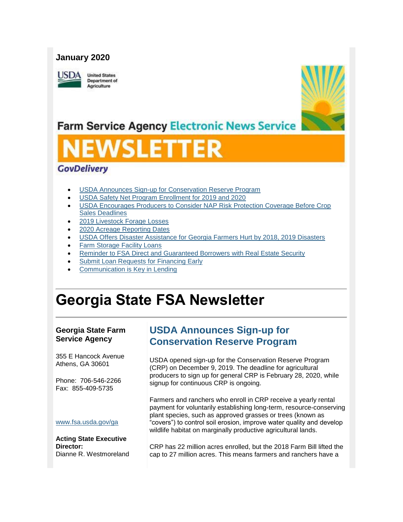### **January 2020**

**JSDA** 

**United States Department of** Agriculture



## **Farm Service Agency Electronic News Service**

# VSLET

## **GovDelivery**

- [USDA Announces Sign-up for Conservation Reserve Program](#page-0-0)
- [USDA Safety Net Program Enrollment for 2019 and 2020](#page-2-0)
- [USDA Encourages Producers to Consider NAP Risk Protection Coverage Before Crop](#page-3-0)  [Sales Deadlines](#page-3-0)
- [2019 Livestock Forage Losses](#page-4-0)
- [2020 Acreage Reporting Dates](#page-5-0)
- [USDA Offers Disaster Assistance for Georgia Farmers Hurt by 2018, 2019 Disasters](#page-5-1)
- [Farm Storage Facility Loans](#page-7-0)
- [Reminder to FSA Direct and Guaranteed Borrowers with Real Estate Security](#page-7-1)
- Submit Loan Requests for Financing Early
- [Communication is Key in Lending](#page-9-0)

## **Georgia State FSA Newsletter**

#### **Georgia State Farm Service Agency**

355 E Hancock Avenue Athens, GA 30601

Phone: 706-546-2266 Fax: 855-409-5735

## <span id="page-0-0"></span>**USDA Announces Sign-up for Conservation Reserve Program**

USDA opened sign-up for the Conservation Reserve Program (CRP) on December 9, 2019. The deadline for agricultural producers to sign up for general CRP is February 28, 2020, while signup for continuous CRP is ongoing.

Farmers and ranchers who enroll in CRP receive a yearly rental payment for voluntarily establishing long-term, resource-conserving plant species, such as approved grasses or trees (known as "covers") to control soil erosion, improve water quality and develop wildlife habitat on marginally productive agricultural lands.

[www.fsa.usda.gov/ga](https://gcc02.safelinks.protection.outlook.com/?url=http%3A%2F%2Fwww.fsa.usda.gov%2Fxx%3Futm_medium%3Demail%26utm_source%3Dgovdelivery&data=02%7C01%7C%7Cc671c1b299d74ec3ceaf08d79841ecfe%7Ced5b36e701ee4ebc867ee03cfa0d4697%7C0%7C1%7C637145281227275519&sdata=AepQBUpoWQD6uILRV6VENwVfLYISC6lbCfpHPqIKsfY%3D&reserved=0)

**Acting State Executive Director:** Dianne R. Westmoreland

CRP has 22 million acres enrolled, but the 2018 Farm Bill lifted the cap to 27 million acres. This means farmers and ranchers have a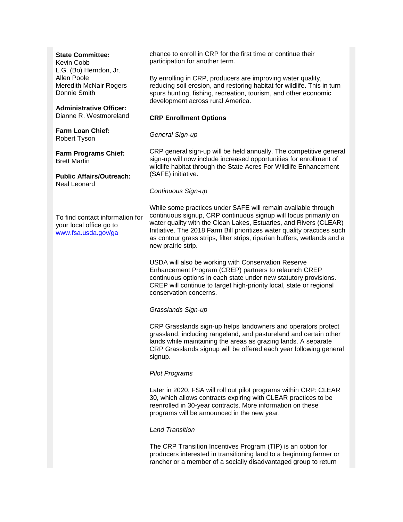#### **State Committee:**

Kevin Cobb L.G. (Bo) Herndon, Jr. Allen Poole Meredith McNair Rogers Donnie Smith

**Administrative Officer:** Dianne R. Westmoreland

**Farm Loan Chief:** Robert Tyson

**Farm Programs Chief:** Brett Martin

**Public Affairs/Outreach:** Neal Leonard

To find contact information for your local office go to [www.fsa.usda.gov/ga](http://www.fsa.usda.gov/ga)

chance to enroll in CRP for the first time or continue their participation for another term.

By enrolling in CRP, producers are improving water quality, reducing soil erosion, and restoring habitat for wildlife. This in turn spurs hunting, fishing, recreation, tourism, and other economic development across rural America.

#### **CRP Enrollment Options**

#### *General Sign-up*

CRP general sign-up will be held annually. The competitive general sign-up will now include increased opportunities for enrollment of wildlife habitat through the State Acres For Wildlife Enhancement (SAFE) initiative.

#### *Continuous Sign-up*

While some practices under SAFE will remain available through continuous signup, CRP continuous signup will focus primarily on water quality with the Clean Lakes, Estuaries, and Rivers (CLEAR) Initiative. The 2018 Farm Bill prioritizes water quality practices such as contour grass strips, filter strips, riparian buffers, wetlands and a new prairie strip.

USDA will also be working with Conservation Reserve Enhancement Program (CREP) partners to relaunch CREP continuous options in each state under new statutory provisions. CREP will continue to target high-priority local, state or regional conservation concerns.

#### *Grasslands Sign-up*

CRP Grasslands sign-up helps landowners and operators protect grassland, including rangeland, and pastureland and certain other lands while maintaining the areas as grazing lands. A separate CRP Grasslands signup will be offered each year following general signup.

#### *Pilot Programs*

Later in 2020, FSA will roll out pilot programs within CRP: CLEAR 30, which allows contracts expiring with CLEAR practices to be reenrolled in 30-year contracts. More information on these programs will be announced in the new year.

#### *Land Transition*

The CRP Transition Incentives Program (TIP) is an option for producers interested in transitioning land to a beginning farmer or rancher or a member of a socially disadvantaged group to return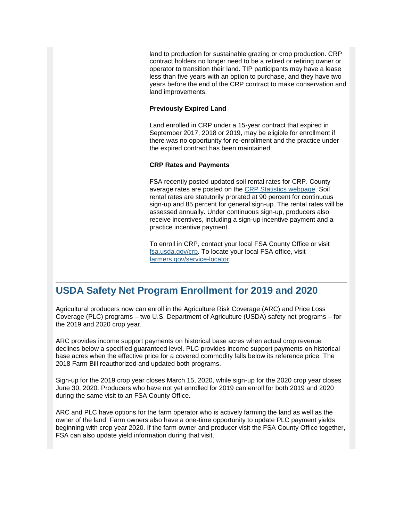land to production for sustainable grazing or crop production. CRP contract holders no longer need to be a retired or retiring owner or operator to transition their land. TIP participants may have a lease less than five years with an option to purchase, and they have two years before the end of the CRP contract to make conservation and land improvements.

#### **Previously Expired Land**

Land enrolled in CRP under a 15-year contract that expired in September 2017, 2018 or 2019, may be eligible for enrollment if there was no opportunity for re-enrollment and the practice under the expired contract has been maintained.

#### **CRP Rates and Payments**

FSA recently posted updated soil rental rates for CRP. County average rates are posted on the [CRP Statistics webpage.](https://gcc02.safelinks.protection.outlook.com/?url=https%3A%2F%2Fwww.fsa.usda.gov%2Fprograms-and-services%2Fconservation-programs%2Freports-and-statistics%2Fconservation-reserve-program-statistics%2Findex%3Futm_medium%3Demail%26utm_source%3Dgovdelivery&data=02%7C01%7C%7Cc671c1b299d74ec3ceaf08d79841ecfe%7Ced5b36e701ee4ebc867ee03cfa0d4697%7C0%7C1%7C637145281227280498&sdata=Vx%2FU%2BbKC4DpOzhy2IUPxImyUOBeVy0VzOeC8guSCk5s%3D&reserved=0) Soil rental rates are statutorily prorated at 90 percent for continuous sign-up and 85 percent for general sign-up. The rental rates will be assessed annually. Under continuous sign-up, producers also receive incentives, including a sign-up incentive payment and a practice incentive payment.

To enroll in CRP, contact your local FSA County Office or visit [fsa.usda.gov/crp.](https://gcc02.safelinks.protection.outlook.com/?url=http%3A%2F%2Fwww.fsa.usda.gov%2Fcrp%3Futm_medium%3Demail%26utm_source%3Dgovdelivery&data=02%7C01%7C%7Cc671c1b299d74ec3ceaf08d79841ecfe%7Ced5b36e701ee4ebc867ee03cfa0d4697%7C0%7C1%7C637145281227285476&sdata=00hurVMZ%2Fn7v%2Fd8xqv8tu3CIUTLj4sZI%2BnXOLChXkn4%3D&reserved=0) To locate your local FSA office, visit [farmers.gov/service-locator.](https://gcc02.safelinks.protection.outlook.com/?url=http%3A%2F%2Ffarmers.gov%2Fservice-locator%3Futm_medium%3Demail%26utm_source%3Dgovdelivery&data=02%7C01%7C%7Cc671c1b299d74ec3ceaf08d79841ecfe%7Ced5b36e701ee4ebc867ee03cfa0d4697%7C0%7C1%7C637145281227290452&sdata=wouvwAt8F1j9zW72UQdCScNstxGbPGyTh1BtXl4J2Ns%3D&reserved=0)

## <span id="page-2-0"></span>**USDA Safety Net Program Enrollment for 2019 and 2020**

Agricultural producers now can enroll in the Agriculture Risk Coverage (ARC) and Price Loss Coverage (PLC) programs – two U.S. Department of Agriculture (USDA) safety net programs – for the 2019 and 2020 crop year.

ARC provides income support payments on historical base acres when actual crop revenue declines below a specified guaranteed level. PLC provides income support payments on historical base acres when the effective price for a covered commodity falls below its reference price. The 2018 Farm Bill reauthorized and updated both programs.

Sign-up for the 2019 crop year closes March 15, 2020, while sign-up for the 2020 crop year closes June 30, 2020. Producers who have not yet enrolled for 2019 can enroll for both 2019 and 2020 during the same visit to an FSA County Office.

ARC and PLC have options for the farm operator who is actively farming the land as well as the owner of the land. Farm owners also have a one-time opportunity to update PLC payment yields beginning with crop year 2020. If the farm owner and producer visit the FSA County Office together, FSA can also update yield information during that visit.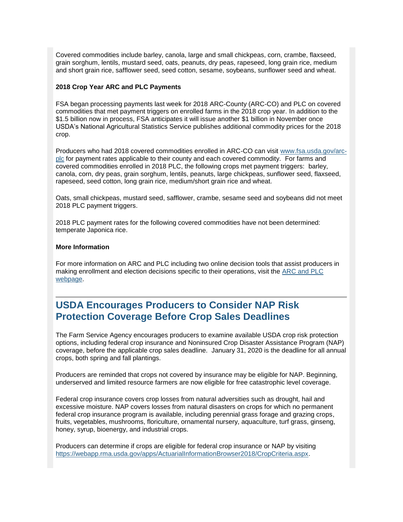Covered commodities include barley, canola, large and small chickpeas, corn, crambe, flaxseed, grain sorghum, lentils, mustard seed, oats, peanuts, dry peas, rapeseed, long grain rice, medium and short grain rice, safflower seed, seed cotton, sesame, soybeans, sunflower seed and wheat.

#### **2018 Crop Year ARC and PLC Payments**

FSA began processing payments last week for 2018 ARC-County (ARC-CO) and PLC on covered commodities that met payment triggers on enrolled farms in the 2018 crop year. In addition to the \$1.5 billion now in process, FSA anticipates it will issue another \$1 billion in November once USDA's National Agricultural Statistics Service publishes additional commodity prices for the 2018 crop.

Producers who had 2018 covered commodities enrolled in ARC-CO can visit [www.fsa.usda.gov/arc](https://gcc02.safelinks.protection.outlook.com/?url=https%3A%2F%2Fwww.fsa.usda.gov%2Fprograms-and-services%2Farcplc_program%2Findex%3Futm_medium%3Demail%26utm_source%3Dgovdelivery&data=02%7C01%7C%7Cc671c1b299d74ec3ceaf08d79841ecfe%7Ced5b36e701ee4ebc867ee03cfa0d4697%7C0%7C1%7C637145281227295431&sdata=Sg9InpcZwz8Cebh3csTOWxtuuMpEpQICahxbW%2Bk9%2BUU%3D&reserved=0)[plc](https://gcc02.safelinks.protection.outlook.com/?url=https%3A%2F%2Fwww.fsa.usda.gov%2Fprograms-and-services%2Farcplc_program%2Findex%3Futm_medium%3Demail%26utm_source%3Dgovdelivery&data=02%7C01%7C%7Cc671c1b299d74ec3ceaf08d79841ecfe%7Ced5b36e701ee4ebc867ee03cfa0d4697%7C0%7C1%7C637145281227295431&sdata=Sg9InpcZwz8Cebh3csTOWxtuuMpEpQICahxbW%2Bk9%2BUU%3D&reserved=0) for payment rates applicable to their county and each covered commodity. For farms and covered commodities enrolled in 2018 PLC, the following crops met payment triggers: barley, canola, corn, dry peas, grain sorghum, lentils, peanuts, large chickpeas, sunflower seed, flaxseed, rapeseed, seed cotton, long grain rice, medium/short grain rice and wheat.

Oats, small chickpeas, mustard seed, safflower, crambe, sesame seed and soybeans did not meet 2018 PLC payment triggers.

2018 PLC payment rates for the following covered commodities have not been determined: temperate Japonica rice.

#### **More Information**

For more information on ARC and PLC including two online decision tools that assist producers in making enrollment and election decisions specific to their operations, visit the [ARC and PLC](https://gcc02.safelinks.protection.outlook.com/?url=https%3A%2F%2Fwww.fsa.usda.gov%2Fprograms-and-services%2Farcplc_program%2Findex%3Futm_medium%3Demail%26utm_source%3Dgovdelivery&data=02%7C01%7C%7Cc671c1b299d74ec3ceaf08d79841ecfe%7Ced5b36e701ee4ebc867ee03cfa0d4697%7C0%7C1%7C637145281227300410&sdata=X0TDmuUkc%2FXkwTRakop41TEoFb14guLlCw0IcAN%2Fnes%3D&reserved=0)  [webpage.](https://gcc02.safelinks.protection.outlook.com/?url=https%3A%2F%2Fwww.fsa.usda.gov%2Fprograms-and-services%2Farcplc_program%2Findex%3Futm_medium%3Demail%26utm_source%3Dgovdelivery&data=02%7C01%7C%7Cc671c1b299d74ec3ceaf08d79841ecfe%7Ced5b36e701ee4ebc867ee03cfa0d4697%7C0%7C1%7C637145281227300410&sdata=X0TDmuUkc%2FXkwTRakop41TEoFb14guLlCw0IcAN%2Fnes%3D&reserved=0)

## <span id="page-3-0"></span>**USDA Encourages Producers to Consider NAP Risk Protection Coverage Before Crop Sales Deadlines**

The Farm Service Agency encourages producers to examine available USDA crop risk protection options, including federal crop insurance and Noninsured Crop Disaster Assistance Program (NAP) coverage, before the applicable crop sales deadline. January 31, 2020 is the deadline for all annual crops, both spring and fall plantings.

Producers are reminded that crops not covered by insurance may be eligible for NAP. Beginning, underserved and limited resource farmers are now eligible for free catastrophic level coverage.

Federal crop insurance covers crop losses from natural adversities such as drought, hail and excessive moisture. NAP covers losses from natural disasters on crops for which no permanent federal crop insurance program is available, including perennial grass forage and grazing crops, fruits, vegetables, mushrooms, floriculture, ornamental nursery, aquaculture, turf grass, ginseng, honey, syrup, bioenergy, and industrial crops.

Producers can determine if crops are eligible for federal crop insurance or NAP by visiting [https://webapp.rma.usda.gov/apps/ActuarialInformationBrowser2018/CropCriteria.aspx.](https://gcc02.safelinks.protection.outlook.com/?url=https%3A%2F%2Fwebapp.rma.usda.gov%2Fapps%2FActuarialInformationBrowser2018%2FCropCriteria.aspx%3Futm_medium%3Demail%26utm_source%3Dgovdelivery&data=02%7C01%7C%7Cc671c1b299d74ec3ceaf08d79841ecfe%7Ced5b36e701ee4ebc867ee03cfa0d4697%7C0%7C1%7C637145281227305384&sdata=DNUq7jkzK%2FVTcPVDRpcGwqklMmcp6a9OkprNwSGGY2Q%3D&reserved=0)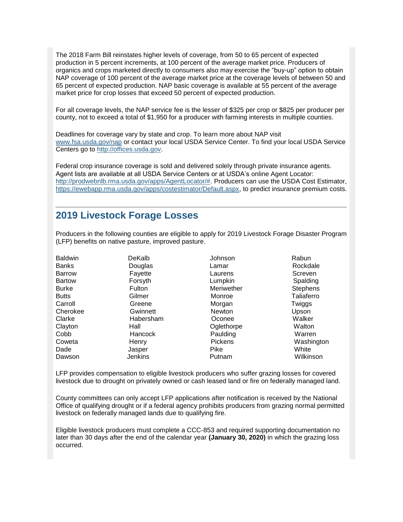The 2018 Farm Bill reinstates higher levels of coverage, from 50 to 65 percent of expected production in 5 percent increments, at 100 percent of the average market price. Producers of organics and crops marketed directly to consumers also may exercise the "buy-up" option to obtain NAP coverage of 100 percent of the average market price at the coverage levels of between 50 and 65 percent of expected production. NAP basic coverage is available at 55 percent of the average market price for crop losses that exceed 50 percent of expected production.

For all coverage levels, the NAP service fee is the lesser of \$325 per crop or \$825 per producer per county, not to exceed a total of \$1,950 for a producer with farming interests in multiple counties.

Deadlines for coverage vary by state and crop. To learn more about NAP visit [www.fsa.usda.gov/nap](https://gcc02.safelinks.protection.outlook.com/?url=http%3A%2F%2Fwww.fsa.usda.gov%2Fnap%3Futm_medium%3Demail%26utm_source%3Dgovdelivery&data=02%7C01%7C%7Cc671c1b299d74ec3ceaf08d79841ecfe%7Ced5b36e701ee4ebc867ee03cfa0d4697%7C0%7C0%7C637145281227310366&sdata=jwszr5lYlDEVn9qgkWMgjYb5O57RXNTUc1KqIE1HKmI%3D&reserved=0) or contact your local USDA Service Center. To find your local USDA Service Centers go to [http://offices.usda.gov.](https://gcc02.safelinks.protection.outlook.com/?url=http%3A%2F%2Foffices.usda.gov%2F%3Futm_medium%3Demail%26utm_source%3Dgovdelivery&data=02%7C01%7C%7Cc671c1b299d74ec3ceaf08d79841ecfe%7Ced5b36e701ee4ebc867ee03cfa0d4697%7C0%7C0%7C637145281227315346&sdata=qQv3OYe%2BFKBLVyzakA8UJWkF2IVFbZVhBvc4bB6zUWg%3D&reserved=0)

Federal crop insurance coverage is sold and delivered solely through private insurance agents. Agent lists are available at all USDA Service Centers or at USDA's online Agent Locator: [http://prodwebnlb.rma.usda.gov/apps/AgentLocator/#.](https://gcc02.safelinks.protection.outlook.com/?url=http%3A%2F%2Fprodwebnlb.rma.usda.gov%2Fapps%2FAgentLocator%2F%3Futm_medium%3Demail%26utm_source%3Dgovdelivery&data=02%7C01%7C%7Cc671c1b299d74ec3ceaf08d79841ecfe%7Ced5b36e701ee4ebc867ee03cfa0d4697%7C0%7C0%7C637145281227320322&sdata=zOAmRdMsq0OTfk38JA3nu0UAWPcZQkWj7B9F2QNpC%2BA%3D&reserved=0) Producers can use the USDA Cost Estimator, [https://ewebapp.rma.usda.gov/apps/costestimator/Default.aspx,](https://gcc02.safelinks.protection.outlook.com/?url=https%3A%2F%2Fewebapp.rma.usda.gov%2Fapps%2Fcostestimator%2FDefault.aspx%3Futm_medium%3Demail%26utm_source%3Dgovdelivery&data=02%7C01%7C%7Cc671c1b299d74ec3ceaf08d79841ecfe%7Ced5b36e701ee4ebc867ee03cfa0d4697%7C0%7C0%7C637145281227330278&sdata=tVY%2B%2FWWBIDaG6i4QcIzbl%2BmNjOF0Szp8LYumr72V2nM%3D&reserved=0) to predict insurance premium costs.

## <span id="page-4-0"></span>**2019 Livestock Forage Losses**

Producers in the following counties are eligible to apply for 2019 Livestock Forage Disaster Program (LFP) benefits on native pasture, improved pasture.

| <b>Baldwin</b> | DeKalb         | Johnson        | Rabun           |
|----------------|----------------|----------------|-----------------|
| <b>Banks</b>   | Douglas        | Lamar          | Rockdale        |
| <b>Barrow</b>  | Fayette        | Laurens        | Screven         |
| <b>Bartow</b>  | Forsyth        | Lumpkin        | Spalding        |
| <b>Burke</b>   | <b>Fulton</b>  | Meriwether     | <b>Stephens</b> |
| <b>Butts</b>   | Gilmer         | Monroe         | Taliaferro      |
| Carroll        | Greene         | Morgan         | Twiggs          |
| Cherokee       | Gwinnett       | <b>Newton</b>  | Upson           |
| Clarke         | Habersham      | Oconee         | Walker          |
| Clayton        | Hall           | Oglethorpe     | Walton          |
| Cobb           | <b>Hancock</b> | Paulding       | Warren          |
| Coweta         | Henry          | <b>Pickens</b> | Washington      |
| Dade           | Jasper         | <b>Pike</b>    | White           |
| Dawson         | Jenkins        | Putnam         | Wilkinson       |

LFP provides compensation to eligible livestock producers who suffer grazing losses for covered livestock due to drought on privately owned or cash leased land or fire on federally managed land.

County committees can only accept LFP applications after notification is received by the National Office of qualifying drought or if a federal agency prohibits producers from grazing normal permitted livestock on federally managed lands due to qualifying fire.

Eligible livestock producers must complete a CCC-853 and required supporting documentation no later than 30 days after the end of the calendar year **(January 30, 2020)** in which the grazing loss occurred.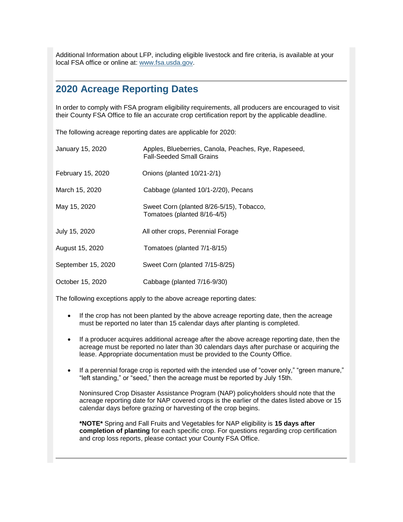<span id="page-5-1"></span>Additional Information about LFP, including eligible livestock and fire criteria, is available at your local FSA office or online at: [www.fsa.usda.gov.](https://gcc02.safelinks.protection.outlook.com/?url=http%3A%2F%2Fwww.fsa.usda.gov%2F%3Futm_medium%3Demail%26utm_source%3Dgovdelivery&data=02%7C01%7C%7Cc671c1b299d74ec3ceaf08d79841ecfe%7Ced5b36e701ee4ebc867ee03cfa0d4697%7C0%7C0%7C637145281227335248&sdata=mh3qUtCVCOqqTaC%2Frv0NByUishIQ9nG82%2FvethcTnZM%3D&reserved=0)

## <span id="page-5-0"></span>**2020 Acreage Reporting Dates**

In order to comply with FSA program eligibility requirements, all producers are encouraged to visit their County FSA Office to file an accurate crop certification report by the applicable deadline.

The following acreage reporting dates are applicable for 2020:

| January 15, 2020   | Apples, Blueberries, Canola, Peaches, Rye, Rapeseed,<br><b>Fall-Seeded Small Grains</b> |
|--------------------|-----------------------------------------------------------------------------------------|
| February 15, 2020  | Onions (planted 10/21-2/1)                                                              |
| March 15, 2020     | Cabbage (planted 10/1-2/20), Pecans                                                     |
| May 15, 2020       | Sweet Corn (planted 8/26-5/15), Tobacco,<br>Tomatoes (planted 8/16-4/5)                 |
| July 15, 2020      | All other crops, Perennial Forage                                                       |
| August 15, 2020    | Tomatoes (planted 7/1-8/15)                                                             |
| September 15, 2020 | Sweet Corn (planted 7/15-8/25)                                                          |
| October 15, 2020   | Cabbage (planted 7/16-9/30)                                                             |

The following exceptions apply to the above acreage reporting dates:

- If the crop has not been planted by the above acreage reporting date, then the acreage must be reported no later than 15 calendar days after planting is completed.
- If a producer acquires additional acreage after the above acreage reporting date, then the acreage must be reported no later than 30 calendars days after purchase or acquiring the lease. Appropriate documentation must be provided to the County Office.
- If a perennial forage crop is reported with the intended use of "cover only," "green manure," "left standing," or "seed," then the acreage must be reported by July 15th.

Noninsured Crop Disaster Assistance Program (NAP) policyholders should note that the acreage reporting date for NAP covered crops is the earlier of the dates listed above or 15 calendar days before grazing or harvesting of the crop begins.

**\*NOTE\*** Spring and Fall Fruits and Vegetables for NAP eligibility is **15 days after completion of planting** for each specific crop. For questions regarding crop certification and crop loss reports, please contact your County FSA Office.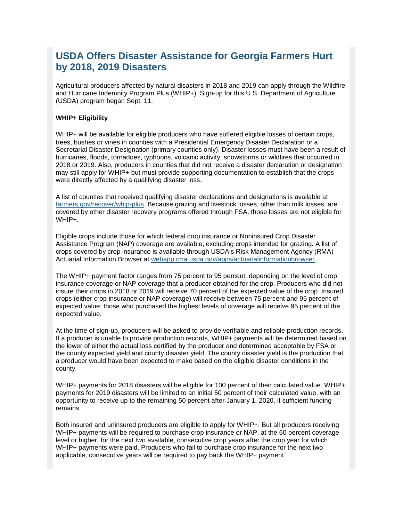## **USDA Offers Disaster Assistance for Georgia Farmers Hurt by 2018, 2019 Disasters**

Agricultural producers affected by natural disasters in 2018 and 2019 can apply through the Wildfire and Hurricane Indemnity Program Plus (WHIP+). Sign-up for this U.S. Department of Agriculture (USDA) program began Sept. 11.

#### **WHIP+ Eligibility**

WHIP+ will be available for eligible producers who have suffered eligible losses of certain crops, trees, bushes or vines in counties with a Presidential Emergency Disaster Declaration or a Secretarial Disaster Designation (primary counties only). Disaster losses must have been a result of hurricanes, floods, tornadoes, typhoons, volcanic activity, snowstorms or wildfires that occurred in 2018 or 2019. Also, producers in counties that did not receive a disaster declaration or designation may still apply for WHIP+ but must provide supporting documentation to establish that the crops were directly affected by a qualifying disaster loss.

A list of counties that received qualifying disaster declarations and designations is available at [farmers.gov/recover/whip-plus.](https://gcc02.safelinks.protection.outlook.com/?data=02%7C01%7C%7Cedf4c56314cc40b16e0108d737abe7a4%7Ced5b36e701ee4ebc867ee03cfa0d4697%7C0%7C0%7C637039083896297481&reserved=0&sdata=uDTK4J%2BLpZVgfXb%2Fep%2FqiCcIQRx5r4ys90a6b8beNPk%3D&url=https%3A%2F%2Fwww.farmers.gov%2Frecover%2Fwhip-plus%3Futm_medium%3Demail%26utm_source%3Dgovdelivery&utm_medium=email&utm_source=govdelivery) Because grazing and livestock losses, other than milk losses, are covered by other disaster recovery programs offered through FSA, those losses are not eligible for WHIP+.

Eligible crops include those for which federal crop insurance or Noninsured Crop Disaster Assistance Program (NAP) coverage are available, excluding crops intended for grazing. A list of crops covered by crop insurance is available through USDA's Risk Management Agency (RMA) Actuarial Information Browser at [webapp.rma.usda.gov/apps/actuarialinformationbrowser.](https://gcc02.safelinks.protection.outlook.com/?data=02%7C01%7C%7Cedf4c56314cc40b16e0108d737abe7a4%7Ced5b36e701ee4ebc867ee03cfa0d4697%7C0%7C0%7C637039083896307501&reserved=0&sdata=jXyP0j%2BFU612yLm9EsQdweASrsQXZoMOAXiz8T6kiis%3D&url=https%3A%2F%2Fwebapp.rma.usda.gov%2Fapps%2Factuarialinformationbrowser%2F%3Futm_medium%3Demail%26utm_source%3Dgovdelivery&utm_medium=email&utm_source=govdelivery)

The WHIP+ payment factor ranges from 75 percent to 95 percent, depending on the level of crop insurance coverage or NAP coverage that a producer obtained for the crop. Producers who did not insure their crops in 2018 or 2019 will receive 70 percent of the expected value of the crop. Insured crops (either crop insurance or NAP coverage) will receive between 75 percent and 95 percent of expected value; those who purchased the highest levels of coverage will receive 95 percent of the expected value.

At the time of sign-up, producers will be asked to provide verifiable and reliable production records. If a producer is unable to provide production records, WHIP+ payments will be determined based on the lower of either the actual loss certified by the producer and determined acceptable by FSA or the county expected yield and county disaster yield. The county disaster yield is the production that a producer would have been expected to make based on the eligible disaster conditions in the county.

WHIP+ payments for 2018 disasters will be eligible for 100 percent of their calculated value. WHIP+ payments for 2019 disasters will be limited to an initial 50 percent of their calculated value, with an opportunity to receive up to the remaining 50 percent after January 1, 2020, if sufficient funding remains.

Both insured and uninsured producers are eligible to apply for WHIP+. But all producers receiving WHIP+ payments will be required to purchase crop insurance or NAP, at the 60 percent coverage level or higher, for the next two available, consecutive crop years after the crop year for which WHIP+ payments were paid. Producers who fail to purchase crop insurance for the next two applicable, consecutive years will be required to pay back the WHIP+ payment.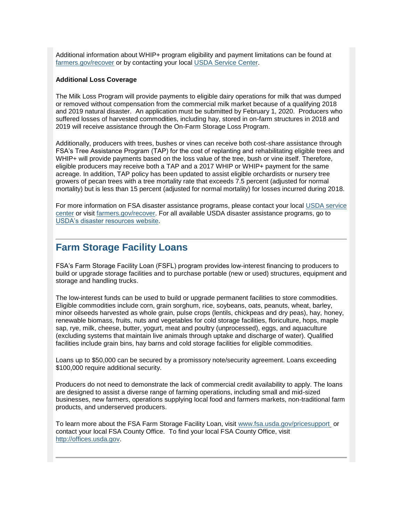<span id="page-7-1"></span>Additional information about WHIP+ program eligibility and payment limitations can be found at [farmers.gov/recover](https://gcc02.safelinks.protection.outlook.com/?data=02%7C01%7C%7Cedf4c56314cc40b16e0108d737abe7a4%7Ced5b36e701ee4ebc867ee03cfa0d4697%7C0%7C0%7C637039083896307501&reserved=0&sdata=n2GSB%2FS7t4%2Fs15kYxgRd4k5EiKEYYUBcLF8KrtGjtKk%3D&url=https%3A%2F%2Fwww.farmers.gov%2Frecover%2Fwhip-plus%3Futm_medium%3Demail%26utm_source%3Dgovdelivery&utm_medium=email&utm_source=govdelivery) or by contacting your local [USDA Service Center.](https://gcc02.safelinks.protection.outlook.com/?data=02%7C01%7C%7Cedf4c56314cc40b16e0108d737abe7a4%7Ced5b36e701ee4ebc867ee03cfa0d4697%7C0%7C0%7C637039083896307501&reserved=0&sdata=jMBh%2FvACpdOtK0HfhEdcqY3W7ptI51uO3gcUKXGlPsI%3D&url=https%3A%2F%2Fwww.farmers.gov%2Fservice-center-locator%3Futm_medium%3Demail%26utm_source%3Dgovdelivery&utm_medium=email&utm_source=govdelivery)

#### **Additional Loss Coverage**

The Milk Loss Program will provide payments to eligible dairy operations for milk that was dumped or removed without compensation from the commercial milk market because of a qualifying 2018 and 2019 natural disaster. An application must be submitted by February 1, 2020. Producers who suffered losses of harvested commodities, including hay, stored in on-farm structures in 2018 and 2019 will receive assistance through the On-Farm Storage Loss Program.

Additionally, producers with trees, bushes or vines can receive both cost-share assistance through FSA's Tree Assistance Program (TAP) for the cost of replanting and rehabilitating eligible trees and WHIP+ will provide payments based on the loss value of the tree, bush or vine itself. Therefore, eligible producers may receive both a TAP and a 2017 WHIP or WHIP+ payment for the same acreage. In addition, TAP policy has been updated to assist eligible orchardists or nursery tree growers of pecan trees with a tree mortality rate that exceeds 7.5 percent (adjusted for normal mortality) but is less than 15 percent (adjusted for normal mortality) for losses incurred during 2018.

For more information on FSA disaster assistance programs, please contact your local [USDA service](https://gcc02.safelinks.protection.outlook.com/?data=02%7C01%7C%7Cedf4c56314cc40b16e0108d737abe7a4%7Ced5b36e701ee4ebc867ee03cfa0d4697%7C0%7C0%7C637039083896317504&reserved=0&sdata=Fh4eDAVbHCKHm3l065EpBucEjkyCJu1OlOJtddcQ0jQ%3D&url=https%3A%2F%2Fwww.farmers.gov%2Fservice-center-locator%3Futm_medium%3Demail%26utm_source%3Dgovdelivery&utm_medium=email&utm_source=govdelivery)  [center](https://gcc02.safelinks.protection.outlook.com/?data=02%7C01%7C%7Cedf4c56314cc40b16e0108d737abe7a4%7Ced5b36e701ee4ebc867ee03cfa0d4697%7C0%7C0%7C637039083896317504&reserved=0&sdata=Fh4eDAVbHCKHm3l065EpBucEjkyCJu1OlOJtddcQ0jQ%3D&url=https%3A%2F%2Fwww.farmers.gov%2Fservice-center-locator%3Futm_medium%3Demail%26utm_source%3Dgovdelivery&utm_medium=email&utm_source=govdelivery) or visit [farmers.gov/recover.](https://gcc02.safelinks.protection.outlook.com/?data=02%7C01%7C%7Cedf4c56314cc40b16e0108d737abe7a4%7Ced5b36e701ee4ebc867ee03cfa0d4697%7C0%7C0%7C637039083896317504&reserved=0&sdata=LYtlJENxSxTE7u1Em8XXrzXj5Wg%2FMEnudUo6wj1vLpM%3D&url=https%3A%2F%2Fwww.farmers.gov%2Frecover%3Futm_medium%3Demail%26utm_source%3Dgovdelivery&utm_medium=email&utm_source=govdelivery) For all available USDA disaster assistance programs, go to [USDA's disaster resources website.](https://gcc02.safelinks.protection.outlook.com/?data=02%7C01%7C%7Cedf4c56314cc40b16e0108d737abe7a4%7Ced5b36e701ee4ebc867ee03cfa0d4697%7C0%7C0%7C637039083896327516&reserved=0&sdata=6f3N0uA1lZG4EAU197U3xN5NRXLvEUpLMnU69KNkBrY%3D&url=https%3A%2F%2Fwww.usda.gov%2Ftopics%2Fdisaster%2Fstorms%3Futm_medium%3Demail%26utm_source%3Dgovdelivery&utm_medium=email&utm_source=govdelivery)

## <span id="page-7-0"></span>**Farm Storage Facility Loans**

FSA's Farm Storage Facility Loan (FSFL) program provides low-interest financing to producers to build or upgrade storage facilities and to purchase portable (new or used) structures, equipment and storage and handling trucks.

The low-interest funds can be used to build or upgrade permanent facilities to store commodities. Eligible commodities include corn, grain sorghum, rice, soybeans, oats, peanuts, wheat, barley, minor oilseeds harvested as whole grain, pulse crops (lentils, chickpeas and dry peas), hay, honey, renewable biomass, fruits, nuts and vegetables for cold storage facilities, floriculture, hops, maple sap, rye, milk, cheese, butter, yogurt, meat and poultry (unprocessed), eggs, and aquaculture (excluding systems that maintain live animals through uptake and discharge of water). Qualified facilities include grain bins, hay barns and cold storage facilities for eligible commodities.

Loans up to \$50,000 can be secured by a promissory note/security agreement. Loans exceeding \$100,000 require additional security.

Producers do not need to demonstrate the lack of commercial credit availability to apply. The loans are designed to assist a diverse range of farming operations, including small and mid-sized businesses, new farmers, operations supplying local food and farmers markets, non-traditional farm products, and underserved producers.

To learn more about the FSA Farm Storage Facility Loan, visit [www.fsa.usda.gov/pricesupport](https://gcc02.safelinks.protection.outlook.com/?url=http%3A%2F%2Fwww.fsa.usda.gov%2Fpricesupport%3Futm_medium%3Demail%26utm_source%3Dgovdelivery&data=02%7C01%7C%7Cc671c1b299d74ec3ceaf08d79841ecfe%7Ced5b36e701ee4ebc867ee03cfa0d4697%7C0%7C0%7C637145281227375082&sdata=Chz6Gy%2BnxCqi4hWDHuV4XNqAQA3nfUQNeFQUx9LLrmo%3D&reserved=0) or contact your local FSA County Office. To find your local FSA County Office, visit [http://offices.usda.gov.](https://gcc02.safelinks.protection.outlook.com/?url=http%3A%2F%2Foffices.usda.gov%2F%3Futm_medium%3Demail%26utm_source%3Dgovdelivery&data=02%7C01%7C%7Cc671c1b299d74ec3ceaf08d79841ecfe%7Ced5b36e701ee4ebc867ee03cfa0d4697%7C0%7C0%7C637145281227380059&sdata=gIRfBxml8SYIn27P6NRWgYcIFEc6b1ieJaRsvt%2FoVX4%3D&reserved=0)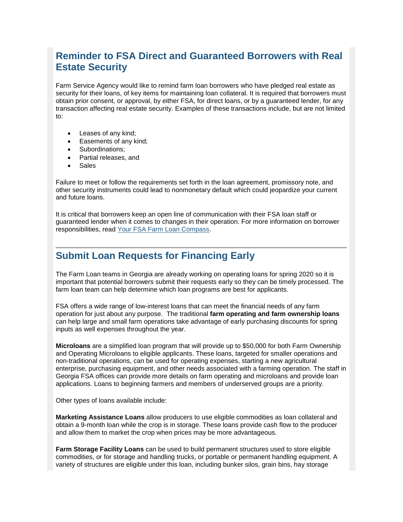## **Reminder to FSA Direct and Guaranteed Borrowers with Real Estate Security**

Farm Service Agency would like to remind farm loan borrowers who have pledged real estate as security for their loans, of key items for maintaining loan collateral. It is required that borrowers must obtain prior consent, or approval, by either FSA, for direct loans, or by a guaranteed lender, for any transaction affecting real estate security. Examples of these transactions include, but are not limited to:

- Leases of any kind;
- Easements of any kind;
- Subordinations:
- Partial releases, and
- Sales

Failure to meet or follow the requirements set forth in the loan agreement, promissory note, and other security instruments could lead to nonmonetary default which could jeopardize your current and future loans.

It is critical that borrowers keep an open line of communication with their FSA loan staff or guaranteed lender when it comes to changes in their operation. For more information on borrower responsibilities, read [Your FSA Farm Loan Compass.](https://gcc02.safelinks.protection.outlook.com/?url=https%3A%2F%2Fwww.fsa.usda.gov%2FAssets%2FUSDA-FSA-Public%2Fusdafiles%2FFarm-Loan-Programs%2Fpdfs%2Floan-servicing%2Ffarm_loan_compass_9-22-17.pdf%3Futm_medium%3Demail%26utm_source%3Dgovdelivery&data=02%7C01%7C%7Cc671c1b299d74ec3ceaf08d79841ecfe%7Ced5b36e701ee4ebc867ee03cfa0d4697%7C0%7C1%7C637145281227385036&sdata=V4FCXn7adB9H4ptI86Z%2FJkGrTiEJcaj%2BNJ9AgqGaojQ%3D&reserved=0)

## <span id="page-8-0"></span>**Submit Loan Requests for Financing Early**

The Farm Loan teams in Georgia are already working on operating loans for spring 2020 so it is important that potential borrowers submit their requests early so they can be timely processed. The farm loan team can help determine which loan programs are best for applicants.

FSA offers a wide range of low-interest loans that can meet the financial needs of any farm operation for just about any purpose. The traditional **farm operating and farm ownership loans** can help large and small farm operations take advantage of early purchasing discounts for spring inputs as well expenses throughout the year.

**Microloans** are a simplified loan program that will provide up to \$50,000 for both Farm Ownership and Operating Microloans to eligible applicants. These loans, targeted for smaller operations and non-traditional operations, can be used for operating expenses, starting a new agricultural enterprise, purchasing equipment, and other needs associated with a farming operation. The staff in Georgia FSA offices can provide more details on farm operating and microloans and provide loan applications. Loans to beginning farmers and members of underserved groups are a priority.

Other types of loans available include:

**Marketing Assistance Loans** allow producers to use eligible commodities as loan collateral and obtain a 9-month loan while the crop is in storage. These loans provide cash flow to the producer and allow them to market the crop when prices may be more advantageous.

**Farm Storage Facility Loans** can be used to build permanent structures used to store eligible commodities, or for storage and handling trucks, or portable or permanent handling equipment. A variety of structures are eligible under this loan, including bunker silos, grain bins, hay storage